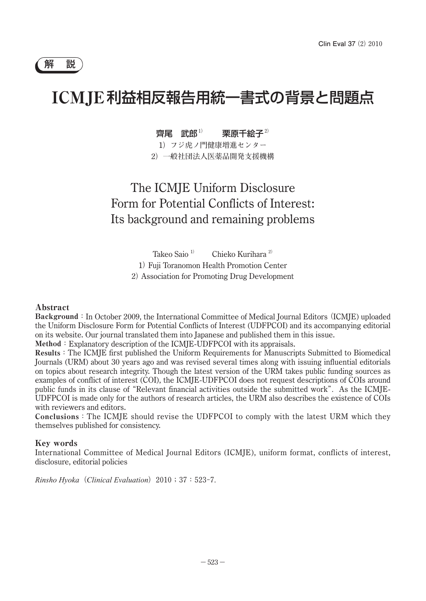# ICMJE利益相反報告用統一書式の背景と問題点

## 齊尾 武郎**1)** 栗原千絵子**2)**

1**)フジ虎ノ門健康増進センター** 2**)一般社団法人医薬品開発支援機構**

## The ICMJE Uniform Disclosure Form for Potential Conflicts of Interest: Its background and remaining problems

Takeo Saio <sup>1</sup>**)** Chieko Kurihara <sup>2</sup>**)** 1**)**Fuji Toranomon Health Promotion Center 2**)**Association for Promoting Drug Development

### Abstract

Background**:**In October 2009, the International Committee of Medical Journal Editors**(**ICMJE) uploaded the Uniform Disclosure Form for Potential Conflicts of Interest (UDFPCOI) and its accompanying editorial on its website. Our journal translated them into Japanese and published them in this issue.

Method**:**Explanatory description of the ICMJE-UDFPCOI with its appraisals.

Results**:**The ICMJE first published the Uniform Requirements for Manuscripts Submitted to Biomedical Journals (URM) about 30 years ago and was revised several times along with issuing influential editorials on topics about research integrity. Though the latest version of the URM takes public funding sources as examples of conflict of interest (COI), the ICMJE-UDFPCOI does not request descriptions of COIs around public funds in its clause of **"**Relevant financial activities outside the submitted work**".**As the ICMJE-UDFPCOI is made only for the authors of research articles, the URM also describes the existence of COIs with reviewers and editors.

Conclusions**:**The ICMJE should revise the UDFPCOI to comply with the latest URM which they themselves published for consistency.

#### Key words

International Committee of Medical Journal Editors (ICMJE), uniform format, conflicts of interest, disclosure, editorial policies

*Rinsho Hyoka***(***Clinical Evaluation***)2010;37:523-7.**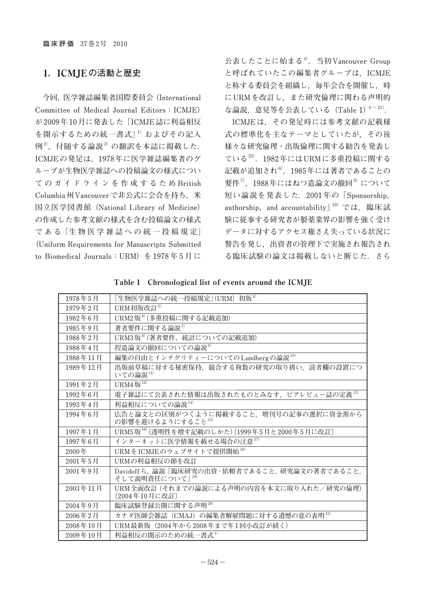## 1.ICMJE**の活動と歴史**

**今回,医学雑誌編集者国際委員会(International Committee of Medical Journal Editors:ICMJE) が2009年10月に発表した「ICMJE誌に利益相反** を開示するための統一書式<sup>」1)</sup>およびその記入 **例2),付随する論説3)の翻訳を本誌に掲載した. ICMJEの発足は,1978年に医学雑誌編集者のグ ループが生物医学雑誌への投稿論文の様式につい てのガイドラインを作成するため British Columbia州Vancouverで非公式に会合を持ち,米 国立医学図書館(National Library of Medicine) の作成した参考文献の様式を含む投稿論文の様式 で あ る「生 物 医 学 雑 誌 へ の 統 一 投 稿 規 定」 (Uniform Requirements for Manuscripts Submitted**  to Biomedical Journals: URM) を 1978年5月に **公表したことに始まる4).当初Vancouver Group と呼ばれていたこの編集者グループは,ICMJE と称する委員会を組織し,毎年会合を開催し,時 にURMを改訂し,また研究倫理に関わる声明的** な論説, 意見等を公表している (Table 1)<sup>4~21)</sup>.

**ICMJEは,その発足時には参考文献の記載様 式の標準化を主なテーマとしていたが,その後 様々な研究倫理・出版倫理に関する勧告を発表し ている22).1982年にはURMに多重投稿に関する 記載が追加され6),1985年には著者であることの 要件7),1988年にはねつ造論文の撤回9)について 短い論説を発表した.2001 年の「Sponsorship,** authorship, and accountability<sup>[19]</sup> では、臨床試 **験に従事する研究者が製薬業界の影響を強く受け データに対するアクセス権さえ失っている状況に 警告を発し,出資者の管理下で実施され報告され る臨床試験の論文は掲載しないと断じた.さら**

|  | Table 1 Chronological list of events around the ICMJE |  |  |  |  |  |
|--|-------------------------------------------------------|--|--|--|--|--|
|--|-------------------------------------------------------|--|--|--|--|--|

| 1978年5月  | 「生物医学雑誌への統一投稿規定」(URM) 初版 <sup>4)</sup>                              |  |  |  |
|----------|---------------------------------------------------------------------|--|--|--|
| 1979年2月  | URM初版改訂5)                                                           |  |  |  |
| 1982年6月  | URM2版 <sup>6)</sup> (多重投稿に関する記載追加)                                  |  |  |  |
| 1985年9月  | 著者要件に関する論説 <sup>7)</sup>                                            |  |  |  |
| 1988年2月  | URM3版 <sup>8)</sup> (著者要件,統計についての記載追加)                              |  |  |  |
| 1988年4月  | 捏造論文の撤回についての論説 <sup>9)</sup>                                        |  |  |  |
| 1988年11月 | 編集の自由とインテグリティーについての $\mathop{{\rm Lundberg}}$ の論説 $^{10}$           |  |  |  |
| 1989年12月 | 出版前草稿に対する秘密保持、競合する複数の研究の取り扱い、読者欄の設置につ<br>いての論説11)                   |  |  |  |
| 1991年2月  | URM4版 $^{12}$                                                       |  |  |  |
| 1992年6月  | 電子雑誌にて公表された情報は出版されたものとみなす、ピアレビュー誌の定義13)                             |  |  |  |
| 1993年4月  | 利益相反についての論説14)                                                      |  |  |  |
| 1994年6月  | 広告と論文との区別がつくように掲載すること.増刊号の記事の選択に資金源から<br>の影響を避けるようにすること15)          |  |  |  |
| 1997年1月  | URM5版 <sup>16)</sup> (透明性を増す記載のしかた) [1999年5月と2000年5月に改訂]            |  |  |  |
| 1997年6月  | インターネットに医学情報を載せる場合の注意17)                                            |  |  |  |
| 2000年    | URMをICMJEのウェブサイトで提供開始 <sup>18)</sup>                                |  |  |  |
| 2001年5月  | URMの利益相反の節を改訂                                                       |  |  |  |
| 2001年9月  | Davidoff ら, 論説「臨床研究の出資·依頼者であること, 研究論文の著者であること,<br>そして説明責任について   19) |  |  |  |
| 2003年11月 | URM全面改訂(それまでの論説による声明の内容を本文に取り入れた/研究の倫理)<br>[2004年10月に改訂]            |  |  |  |
| 2004年9月  | 臨床試験登録公開に関する声明20)                                                   |  |  |  |
| 2006年2月  | カナダ医師会雑誌 (CMAJ) の編集者解雇問題に対する遺憾の意の表明 <sup>21)</sup>                  |  |  |  |
| 2008年10月 | URM最新版(2004年から2008年まで年1回小改訂が続く)                                     |  |  |  |
| 2009年10月 | 利益相反の開示のための統一書式『                                                    |  |  |  |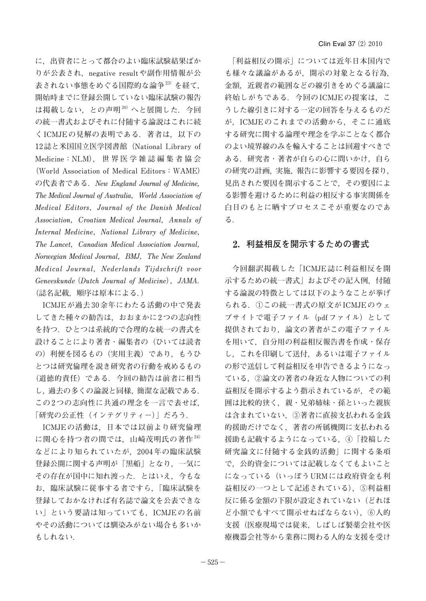**に,出資者にとって都合のよい臨床試験結果ばか りが公表され,negative resultや副作用情報が公 表されない事態をめぐる国際的な論争23)を経て, 開始時までに登録公開していない臨床試験の報告 は掲載しない,との声明20)へと展開した.今回 の統一書式およびそれに付随する論説はこれに続 くICMJEの見解の表明である.著者は,以下の 12誌と米国国立医学図書館(National Library of Medicine:NLM),世界医学雑誌編集者協会 (World Association of Medical Editors:WAME) の代表者である.New England Journal of Medicine, The Medical Journal of Australia,World Association of Medical Editors,Journal of the Danish Medical**  Association, Croatian Medical Journal, Annals of Internal Medicine, National Library of Medicine, The Lancet, Canadian Medical Association Journal, **Norwegian Medical Journal,BMJ,The New Zealand**  Medical Journal, Nederlands Tijdschrift voor **Geneeskunde(Dutch Journal of Medicine),JAMA. (誌名記載,順序は原本による.)**

**ICMJEが過去30余年にわたる活動の中で発表 してきた種々の勧告は,おおまかに2つの志向性 を持つ.ひとつは系統的で合理的な統一の書式を 設けることにより著者・編集者の(ひいては読者 の)利便を図るもの(実用主義)であり,もうひ とつは研究倫理を説き研究者の行動を戒めるもの (道徳的責任)である.今回の勧告は前者に相当 し,過去の多くの論説と同様,簡潔な記載である. この2つの志向性に共通の理念を一言で表せば, 「研究の公正性(インテグリティー)」だろう.**

**ICMJEの活動は,日本では以前より研究倫理 に関心を持つ者の間では,山崎茂明氏の著作24) などにより知られていたが,2004年の臨床試験 登録公開に関する声明が「黒船」となり,一気に その存在が国中に知れ渡った.とはいえ,今もな お,臨床試験に従事する者ですら,「臨床試験を 登録しておかなければ有名誌で論文を公表できな い」という要請は知っていても,ICMJEの名前 やその活動については馴染みがない場合も多いか もしれない.**

**「利益相反の開示」については近年日本国内で も様々な議論があるが,開示の対象となる行為, 金額,近親者の範囲などの線引きをめぐる議論に 終始しがちである.今回のICMJEの提案は,こ うした線引きに対する一定の回答を与えるものだ が,ICMJEのこれまでの活動から,そこに通底 する研究に関する論理や理念を学ぶことなく都合 のよい境界線のみを輸入することは回避すべきで ある.研究者・著者が自らの心に問いかけ,自ら の研究の計画,実施,報告に影響する要因を探り, 見出された要因を開示することで,その要因によ る影響を避けるために利益の相反する事実関係を 白日のもとに晒すプロセスこそが重要なのであ る.**

## 2.**利益相反を開示するための書式**

**今回翻訳掲載した「ICMJE誌に利益相反を開 示するための統一書式」およびその記入例,付随 する論説の特徴としては以下のようなことが挙げ られる.①この統一書式の原文がICMJEのウェ ブサイトで電子ファイル(pdfファイル)として** 提供されており, 論文の著者がこの電子ファイル **を用いて,自分用の利益相反報告書を作成・保存 し,これを印刷して送付,あるいは電子ファイル の形で送信して利益相反を申告できるようになっ ている,②論文の著者の身近な人物についての利 益相反を開示するよう指示されているが,その範 囲は比較的狭く,親・兄弟姉妹・孫といった親族 は含まれていない,③著者に直接支払われる金銭 的援助だけでなく,著者の所属機関に支払われる 援助も記載するようになっている,④「投稿した 研究論文に付随する金銭的活動」に関する条項 で,公的資金については記載しなくてもよいこと になっている(いっぽうURMには政府資金も利 益相反の一つとして記述されている),⑤利益相 反に係る金額の下限が設定されていない(どれほ ど小額でもすべて開示せねばならない),⑥人的 支援(医療現場では従来,しばしば製薬会社や医 療機器会社等から業務に関わる人的な支援を受け**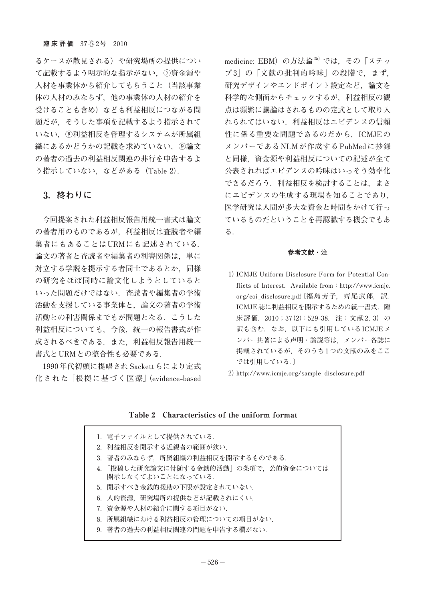**るケースが散見される)や研究場所の提供につい て記載するよう明示的な指示がない,⑦資金源や 人材を事業体から紹介してもらうこと(当該事業 体の人材のみならず,他の事業体の人材の紹介を 受けることも含め)なども利益相反につながる問 題だが,そうした事項を記載するよう指示されて いない,⑧利益相反を管理するシステムが所属組 織にあるかどうかの記載を求めていない,⑨論文 の著者の過去の利益相反関連の非行を申告するよ う指示していない,などがある(Table 2).**

## 3.**終わりに**

**今回提案された利益相反報告用統一書式は論文 の著者用のものであるが,利益相反は査読者や編 集者にもあることはURMにも記述されている. 論文の著者と査読者や編集者の利害関係は,単に 対立する学説を提示する者同士であるとか,同様 の研究をほぼ同時に論文化しようとしていると いった問題だけではない.査読者や編集者の学術 活動を支援している事業体と,論文の著者の学術 活動との利害関係までもが問題となる.こうした 利益相反についても,今後,統一の報告書式が作 成されるべきである.また,利益相反報告用統一 書式とURMとの整合性も必要である.**

**1990年代初頭に提唱されSackettらにより定式 化された「根拠に基づく医療」(evidence-based**  **medicine: EBM)の方法論25)では,その「ステッ プ3」の「文献の批判的吟味」の段階で,まず, 研究デザインやエンドポイント設定など,論文を 科学的な側面からチェックするが,利益相反の観 点は頻繁に議論はされるものの定式として取り入 れられてはいない.利益相反はエビデンスの信頼 性に係る重要な問題であるのだから,ICMJEの メンバーであるNLMが作成するPubMedに抄録 と同様,資金源や利益相反についての記述が全て 公表されればエビデンスの吟味はいっそう効率化 できるだろう.利益相反を検討することは,まさ にエビデンスの生成する現場を知ることであり, 医学研究は人間が多大な資金と時間をかけて行っ ているものだということを再認識する機会でもあ る.**

#### **参考文献・注**

- **1) ICMJE Uniform Disclosure Form for Potential Con**flicts of Interest. Available from: http://www.icmje. **org/coi\_disclosure.pdf〔福島芳子,齊尾武郎,訳. ICMJE誌に利益相反を開示するための統一書式.臨** 床評価. 2010;37(2):529-38. 注:文献 2,3) の **訳も含む.なお,以下にも引用しているICMJEメ ンバー共著による声明・論説等は,メンバー各誌に 掲載されているが,そのうち1つの文献のみをここ では引用している.〕**
- **2) http://www.icmje.org/sample\_disclosure.pdf**

#### Table 2 Characteristics of the uniform format

|  | 1.電子ファイルとして提供されている.                                        |
|--|------------------------------------------------------------|
|  | 2.利益相反を開示する近親者の範囲が狭い.                                      |
|  | 3.著者のみならず,所属組織の利益相反を開示するものである.                             |
|  | 4. 「投稿した研究論文に付随する金銭的活動」の条項で,公的資金については<br>開示しなくてよいことになっている. |
|  | 5.開示すべき金銭的援助の下限が設定されていない.                                  |
|  | 6.人的資源,研究場所の提供などが記載されにくい.                                  |
|  | 7.資金源や人材の紹介に関する項目がない.                                      |
|  | 8.所属組織における利益相反の管理についての項目がない.                               |
|  | 9.著者の過去の利益相反関連の問題を申告する欄がない.                                |
|  |                                                            |